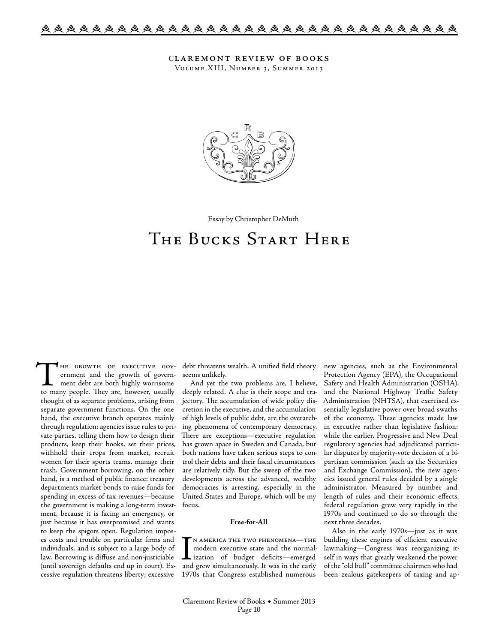Claremont review of books Volume XIII, Number 3, Summer 2013



Essay by Christopher DeMuth

# The Bucks Start Here

THE GROWTH OF EXECUTIVE GOVernment and the growth of government debt are both highly worrisome to many people. They are, however, usually thought of as separate problems, arising from separate government functions. On the one hand, the executive branch operates mainly through regulation: agencies issue rules to private parties, telling them how to design their products, keep their books, set their prices, withhold their crops from market, recruit women for their sports teams, manage their trash. Government borrowing, on the other hand, is a method of public finance: treasury departments market bonds to raise funds for spending in excess of tax revenues—because the government is making a long-term investment, because it is facing an emergency, or just because it has overpromised and wants to keep the spigots open. Regulation imposes costs and trouble on particular firms and individuals, and is subject to a large body of law. Borrowing is diffuse and non-justiciable (until sovereign defaults end up in court). Excessive regulation threatens liberty; excessive

debt threatens wealth. A unified field theory seems unlikely.

And yet the two problems are, I believe, deeply related. A clue is their scope and trajectory. The accumulation of wide policy discretion in the executive, and the accumulation of high levels of public debt, are the overarching phenomena of contemporary democracy. There are exceptions—executive regulation has grown apace in Sweden and Canada, but both nations have taken serious steps to control their debts and their fiscal circumstances are relatively tidy. But the sweep of the two developments across the advanced, wealthy democracies is arresting, especially in the United States and Europe, which will be my focus.

## **Free-for-All**

IN AMERICA THE TWO PHENOMENA—THE<br>
modern executive state and the normal-<br>
ization of budget deficits—emerged<br>
and grew simultaneously. It was in the early n america the two phenomena—the modern executive state and the normalization of budget deficits—emerged 1970s that Congress established numerous

new agencies, such as the Environmental Protection Agency (EPA), the Occupational Safety and Health Administration (OSHA), and the National Highway Traffic Safety Administration (NHTSA), that exercised essentially legislative power over broad swaths of the economy. These agencies made law in executive rather than legislative fashion: while the earlier, Progressive and New Deal regulatory agencies had adjudicated particular disputes by majority-vote decision of a bipartisan commission (such as the Securities and Exchange Commission), the new agencies issued general rules decided by a single administrator. Measured by number and length of rules and their economic effects, federal regulation grew very rapidly in the 1970s and continued to do so through the next three decades.

Also in the early 1970s—just as it was building these engines of efficient executive lawmaking—Congress was reorganizing itself in ways that greatly weakened the power of the "old bull" committee chairmen who had been zealous gatekeepers of taxing and ap-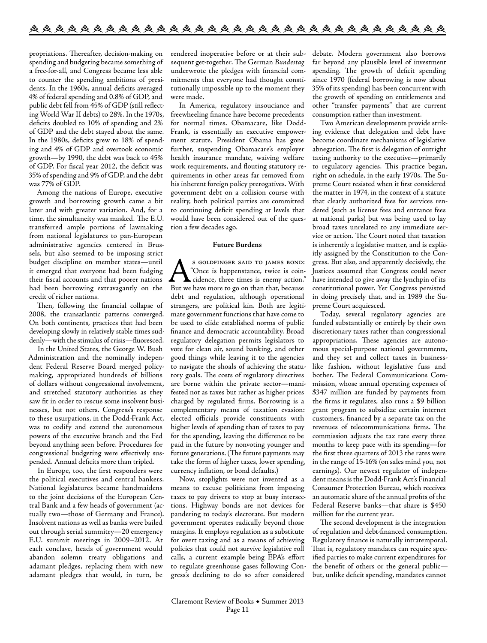propriations. Thereafter, decision-making on spending and budgeting became something of a free-for-all, and Congress became less able to counter the spending ambitions of presidents. In the 1960s, annual deficits averaged 4% of federal spending and 0.8% of GDP, and public debt fell from 45% of GDP (still reflecting World War II debts) to 28%. In the 1970s, deficits doubled to 10% of spending and 2% of GDP and the debt stayed about the same. In the 1980s, deficits grew to 18% of spending and 4% of GDP and overtook economic growth—by 1990, the debt was back to 45% of GDP. For fiscal year 2012, the deficit was 35% of spending and 9% of GDP, and the debt was 77% of GDP.

Among the nations of Europe, executive growth and borrowing growth came a bit later and with greater variation. And, for a time, the simultaneity was masked. The E.U. transferred ample portions of lawmaking from national legislatures to pan-European administrative agencies centered in Brussels, but also seemed to be imposing strict budget discipline on member states—until it emerged that everyone had been fudging their fiscal accounts and that poorer nations had been borrowing extravagantly on the credit of richer nations.

Then, following the financial collapse of 2008, the transatlantic patterns converged. On both continents, practices that had been developing slowly in relatively stable times suddenly—with the stimulus of crisis—fluoresced.

In the United States, the George W. Bush Administration and the nominally independent Federal Reserve Board merged policymaking, appropriated hundreds of billions of dollars without congressional involvement, and stretched statutory authorities as they saw fit in order to rescue some insolvent businesses, but not others. Congress's response to these usurpations, in the Dodd-Frank Act, was to codify and extend the autonomous powers of the executive branch and the Fed beyond anything seen before. Procedures for congressional budgeting were effectively suspended. Annual deficits more than tripled.

In Europe, too, the first responders were the political executives and central bankers. National legislatures became handmaidens to the joint decisions of the European Central Bank and a few heads of government (actually two—those of Germany and France). Insolvent nations as well as banks were bailed out through serial summitry—20 emergency E.U. summit meetings in 2009–2012. At each conclave, heads of government would abandon solemn treaty obligations and adamant pledges, replacing them with new adamant pledges that would, in turn, be

rendered inoperative before or at their subsequent get-together. The German *Bundestag* underwrote the pledges with financial commitments that everyone had thought constitutionally impossible up to the moment they were made.

In America, regulatory insouciance and freewheeling finance have become precedents for normal times. Obamacare, like Dodd-Frank, is essentially an executive empowerment statute. President Obama has gone further, suspending Obamacare's employer health insurance mandate, waiving welfare work requirements, and flouting statutory requirements in other areas far removed from his inherent foreign policy prerogatives. With government debt on a collision course with reality, both political parties are committed to continuing deficit spending at levels that would have been considered out of the question a few decades ago.

### **Future Burdens**

S GOLDFINGER SAID TO JAMES BOND:<br>
"Once is happenstance, twice is coin-<br>
cidence, three times is enemy action."<br>
But we have more to go on than that. because "Once is happenstance, twice is coincidence, three times is enemy action." But we have more to go on than that, because debt and regulation, although operational strangers, are political kin. Both are legitimate government functions that have come to be used to elide established norms of public finance and democratic accountability. Broad regulatory delegation permits legislators to vote for clean air, sound banking, and other good things while leaving it to the agencies to navigate the shoals of achieving the statutory goals. The costs of regulatory directives are borne within the private sector—manifested not as taxes but rather as higher prices charged by regulated firms. Borrowing is a complementary means of taxation evasion: elected officials provide constituents with higher levels of spending than of taxes to pay for the spending, leaving the difference to be paid in the future by nonvoting younger and future generations. (The future payments may take the form of higher taxes, lower spending, currency inflation, or bond defaults.)

Now, stoplights were not invented as a means to excuse politicians from imposing taxes to pay drivers to stop at busy intersections. Highway bonds are not devices for pandering to today's electorate. But modern government operates radically beyond those margins. It employs regulation as a substitute for overt taxing and as a means of achieving policies that could not survive legislative roll calls, a current example being EPA's effort to regulate greenhouse gases following Congress's declining to do so after considered

debate. Modern government also borrows far beyond any plausible level of investment spending. The growth of deficit spending since 1970 (federal borrowing is now about 35% of its spending) has been concurrent with the growth of spending on entitlements and other "transfer payments" that are current consumption rather than investment.

Two American developments provide striking evidence that delegation and debt have become coordinate mechanisms of legislative abnegation. The first is delegation of outright taxing authority to the executive—primarily to regulatory agencies. This practice began, right on schedule, in the early 1970s. The Supreme Court resisted when it first considered the matter in 1974, in the context of a statute that clearly authorized fees for services rendered (such as license fees and entrance fees at national parks) but was being used to lay broad taxes unrelated to any immediate service or action. The Court noted that taxation is inherently a legislative matter, and is explicitly assigned by the Constitution to the Congress. But also, and apparently decisively, the Justices assumed that Congress could never have intended to give away the lynchpin of its constitutional power. Yet Congress persisted in doing precisely that, and in 1989 the Supreme Court acquiesced.

Today, several regulatory agencies are funded substantially or entirely by their own discretionary taxes rather than congressional appropriations. These agencies are autonomous special-purpose national governments, and they set and collect taxes in businesslike fashion, without legislative fuss and bother. The Federal Communications Commission, whose annual operating expenses of \$347 million are funded by payments from the firms it regulates, also runs a \$9 billion grant program to subsidize certain internet customers, financed by a separate tax on the revenues of telecommunications firms. The commission adjusts the tax rate every three months to keep pace with its spending—for the first three quarters of 2013 the rates were in the range of 15-16% (on sales mind you, not earnings). Our newest regulator of independent means is the Dodd-Frank Act's Financial Consumer Protection Bureau, which receives an automatic share of the annual profits of the Federal Reserve banks—that share is \$450 million for the current year.

The second development is the integration of regulation and debt-financed consumption. Regulatory finance is naturally intratemporal. That is, regulatory mandates can require specified parties to make current expenditures for the benefit of others or the general public but, unlike deficit spending, mandates cannot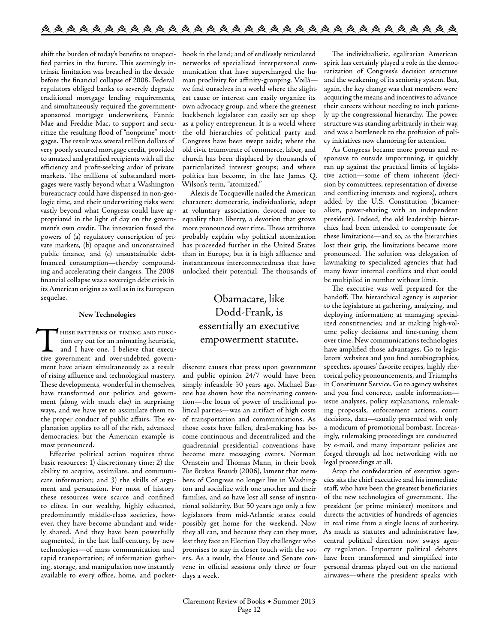shift the burden of today's benefits to unspecified parties in the future. This seemingly intrinsic limitation was breached in the decade before the financial collapse of 2008. Federal regulators obliged banks to severely degrade traditional mortgage lending requirements, and simultaneously required the governmentsponsored mortgage underwriters, Fannie Mae and Freddie Mac, to support and securitize the resulting flood of "nonprime" mortgages. The result was several trillion dollars of very poorly secured mortgage credit, provided to amazed and gratified recipients with all the efficiency and profit-seeking ardor of private markets. The millions of substandard mortgages were vastly beyond what a Washington bureaucracy could have dispensed in non-geologic time, and their underwriting risks were vastly beyond what Congress could have appropriated in the light of day on the government's own credit. The innovation fused the powers of (a) regulatory conscription of private markets, (b) opaque and unconstrained public finance, and (c) unsustainable debtfinanced consumption—thereby compounding and accelerating their dangers. The 2008 financial collapse was a sovereign debt crisis in its American origins as well as in its European sequelae.

### **New Technologies**

THESE PATTERNS OF TIMING AND FUNC-<br>tion cry out for an animating heuristic,<br>and I have one. I believe that execu-<br>tive government and over-indebted governtion cry out for an animating heuristic, and I have one. I believe that executive government and over-indebted government have arisen simultaneously as a result of rising affluence and technological mastery. These developments, wonderful in themselves, have transformed our politics and government (along with much else) in surprising ways, and we have yet to assimilate them to the proper conduct of public affairs. The explanation applies to all of the rich, advanced democracies, but the American example is most pronounced.

Effective political action requires three basic resources: 1) discretionary time; 2) the ability to acquire, assimilate, and communicate information; and 3) the skills of argument and persuasion. For most of history these resources were scarce and confined to elites. In our wealthy, highly educated, predominantly middle-class societies, however, they have become abundant and widely shared. And they have been powerfully augmented, in the last half-century, by new technologies—of mass communication and rapid transportation; of information gathering, storage, and manipulation now instantly available to every office, home, and pocketbook in the land; and of endlessly reticulated networks of specialized interpersonal communication that have supercharged the human proclivity for affinity-grouping. Voilà we find ourselves in a world where the slightest cause or interest can easily organize its own advocacy group, and where the greenest backbench legislator can easily set up shop as a policy entrepreneur. It is a world where the old hierarchies of political party and Congress have been swept aside; where the old civic triumvirate of commerce, labor, and church has been displaced by thousands of particularized interest groups; and where politics has become, in the late James Q. Wilson's term, "atomized."

Alexis de Tocqueville nailed the American character: democratic, individualistic, adept at voluntary association, devoted more to equality than liberty, a devotion that grows more pronounced over time. These attributes probably explain why political atomization has proceeded further in the United States than in Europe, but it is high affluence and instantaneous interconnectedness that have unlocked their potential. The thousands of

# Obamacare, like Dodd-Frank, is essentially an executive empowerment statute.

discrete causes that press upon government and public opinion 24/7 would have been simply infeasible 50 years ago. Michael Barone has shown how the nominating convention—the locus of power of traditional political parties—was an artifact of high costs of transportation and communications. As those costs have fallen, deal-making has become continuous and decentralized and the quadrennial presidential conventions have become mere messaging events. Norman Ornstein and Thomas Mann, in their book *The Broken Branch* (2006), lament that members of Congress no longer live in Washington and socialize with one another and their families, and so have lost all sense of institutional solidarity. But 50 years ago only a few legislators from mid-Atlantic states could possibly get home for the weekend. Now they all can, and because they can they must, lest they face an Election Day challenger who promises to stay in closer touch with the voters. As a result, the House and Senate convene in official sessions only three or four days a week.

The individualistic, egalitarian American spirit has certainly played a role in the democratization of Congress's decision structure and the weakening of its seniority system. But, again, the key change was that members were acquiring the means and incentives to advance their careers without needing to inch patiently up the congressional hierarchy. The power structure was standing arbitrarily in their way, and was a bottleneck to the profusion of policy initiatives now clamoring for attention.

As Congress became more porous and responsive to outside importuning, it quickly ran up against the practical limits of legislative action—some of them inherent (decision by committees, representation of diverse and conflicting interests and regions), others added by the U.S. Constitution (bicameralism, power-sharing with an independent president). Indeed, the old leadership hierarchies had been intended to compensate for these limitations—and so, as the hierarchies lost their grip, the limitations became more pronounced. The solution was delegation of lawmaking to specialized agencies that had many fewer internal conflicts and that could be multiplied in number without limit.

The executive was well prepared for the handoff. The hierarchical agency is superior to the legislature at gathering, analyzing, and deploying information; at managing specialized constituencies; and at making high-volume policy decisions and fine-tuning them over time. New communications technologies have amplified those advantages. Go to legislators' websites and you find autobiographies, speeches, spouses' favorite recipes, highly rhetorical policy pronouncements, and Triumphs in Constituent Service. Go to agency websites and you find concrete, usable information issue analyses, policy explanations, rulemaking proposals, enforcement actions, court decisions, data—usually presented with only a modicum of promotional bombast. Increasingly, rulemaking proceedings are conducted by e-mail, and many important policies are forged through ad hoc networking with no legal proceedings at all.

Atop the confederation of executive agencies sits the chief executive and his immediate staff, who have been the greatest beneficiaries of the new technologies of government. The president (or prime minister) monitors and directs the activities of hundreds of agencies in real time from a single locus of authority. As much as statutes and administrative law, central political direction now sways agency regulation. Important political debates have been transformed and simplified into personal dramas played out on the national airwaves—where the president speaks with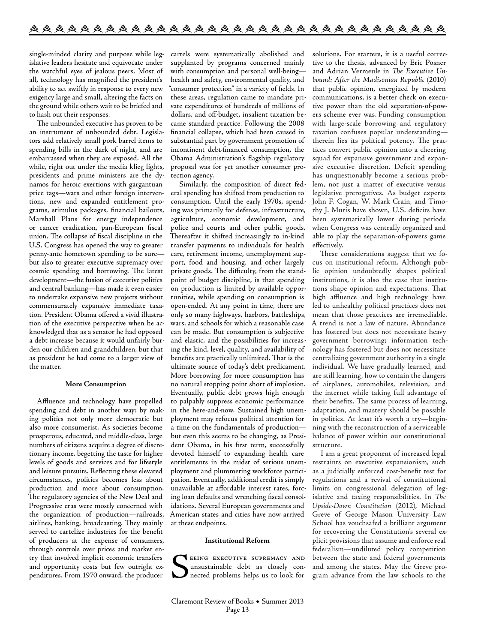single-minded clarity and purpose while legislative leaders hesitate and equivocate under the watchful eyes of jealous peers. Most of all, technology has magnified the president's ability to act swiftly in response to every new exigency large and small, altering the facts on the ground while others wait to be briefed and to hash out their responses.

The unbounded executive has proven to be an instrument of unbounded debt. Legislators add relatively small pork barrel items to spending bills in the dark of night, and are embarrassed when they are exposed. All the while, right out under the media klieg lights, presidents and prime ministers are the dynamos for heroic exertions with gargantuan price tags—wars and other foreign interventions, new and expanded entitlement programs, stimulus packages, financial bailouts, Marshall Plans for energy independence or cancer eradication, pan-European fiscal union. The collapse of fiscal discipline in the U.S. Congress has opened the way to greater penny-ante hometown spending to be sure but also to greater executive supremacy over cosmic spending and borrowing. The latest development—the fusion of executive politics and central banking—has made it even easier to undertake expansive new projects without commensurately expansive immediate taxation. President Obama offered a vivid illustration of the executive perspective when he acknowledged that as a senator he had opposed a debt increase because it would unfairly burden our children and grandchildren, but that as president he had come to a larger view of the matter.

#### **More Consumption**

Affluence and technology have propelled spending and debt in another way: by making politics not only more democratic but also more consumerist. As societies become prosperous, educated, and middle-class, large numbers of citizens acquire a degree of discretionary income, begetting the taste for higher levels of goods and services and for lifestyle and leisure pursuits. Reflecting these elevated circumstances, politics becomes less about production and more about consumption. The regulatory agencies of the New Deal and Progressive eras were mostly concerned with the organization of production—railroads, airlines, banking, broadcasting. They mainly served to cartelize industries for the benefit of producers at the expense of consumers, through controls over prices and market entry that involved implicit economic transfers and opportunity costs but few outright expenditures. From 1970 onward, the producer

cartels were systematically abolished and supplanted by programs concerned mainly with consumption and personal well-being health and safety, environmental quality, and "consumer protection" in a variety of fields. In these areas, regulation came to mandate private expenditures of hundreds of millions of dollars, and off-budget, insalient taxation became standard practice. Following the 2008 financial collapse, which had been caused in substantial part by government promotion of incontinent debt-financed consumption, the Obama Administration's flagship regulatory proposal was for yet another consumer protection agency.

Similarly, the composition of direct federal spending has shifted from production to consumption. Until the early 1970s, spending was primarily for defense, infrastructure, agriculture, economic development, and police and courts and other public goods. Thereafter it shifted increasingly to in-kind transfer payments to individuals for health care, retirement income, unemployment support, food and housing, and other largely private goods. The difficulty, from the standpoint of budget discipline, is that spending on production is limited by available opportunities, while spending on consumption is open-ended. At any point in time, there are only so many highways, harbors, battleships, wars, and schools for which a reasonable case can be made. But consumption is subjective and elastic, and the possibilities for increasing the kind, level, quality, and availability of benefits are practically unlimited. That is the ultimate source of today's debt predicament. More borrowing for more consumption has no natural stopping point short of implosion. Eventually, public debt grows high enough to palpably suppress economic performance in the here-and-now. Sustained high unemployment may refocus political attention for a time on the fundamentals of production but even this seems to be changing, as President Obama, in his first term, successfully devoted himself to expanding health care entitlements in the midst of serious unemployment and plummeting workforce participation. Eventually, additional credit is simply unavailable at affordable interest rates, forcing loan defaults and wrenching fiscal consolidations. Several European governments and American states and cities have now arrived at these endpoints.

### **Institutional Reform**

SEING EXECUTIVE SUPREMACY AND UNSUSTAINED AND MISLICIAL CONTROLLER CONTROLLER AND unsustainable debt as closely connected problems helps us to look for

solutions. For starters, it is a useful corrective to the thesis, advanced by Eric Posner and Adrian Vermeule in *The Executive Unbound: After the Madisonian Republic* (2010) that public opinion, energized by modern communications, is a better check on executive power than the old separation-of-powers scheme ever was. Funding consumption with large-scale borrowing and regulatory taxation confuses popular understanding therein lies its political potency. The practices convert public opinion into a cheering squad for expansive government and expansive executive discretion. Deficit spending has unquestionably become a serious problem, not just a matter of executive versus legislative prerogatives. As budget experts John F. Cogan, W. Mark Crain, and Timothy J. Muris have shown, U.S. deficits have been systematically lower during periods when Congress was centrally organized and able to play the separation-of-powers game effectively.

These considerations suggest that we focus on institutional reform. Although public opinion undoubtedly shapes political institutions, it is also the case that institutions shape opinion and expectations. That high affluence and high technology have led to unhealthy political practices does not mean that those practices are irremediable. A trend is not a law of nature. Abundance has fostered but does not necessitate heavy government borrowing; information technology has fostered but does not necessitate centralizing government authority in a single individual. We have gradually learned, and are still learning, how to contain the dangers of airplanes, automobiles, television, and the internet while taking full advantage of their benefits. The same process of learning, adaptation, and mastery should be possible in politics. At least it's worth a try—beginning with the reconstruction of a serviceable balance of power within our constitutional structure.

I am a great proponent of increased legal restraints on executive expansionism, such as a judicially enforced cost-benefit test for regulations and a revival of constitutional limits on congressional delegation of legislative and taxing responsibilities. In *The Upside-Down Constitution* (2012), Michael Greve of George Mason University Law School has vouchsafed a brilliant argument for recovering the Constitution's several explicit provisions that assume and enforce real federalism—undiluted policy competition between the state and federal governments and among the states. May the Greve program advance from the law schools to the